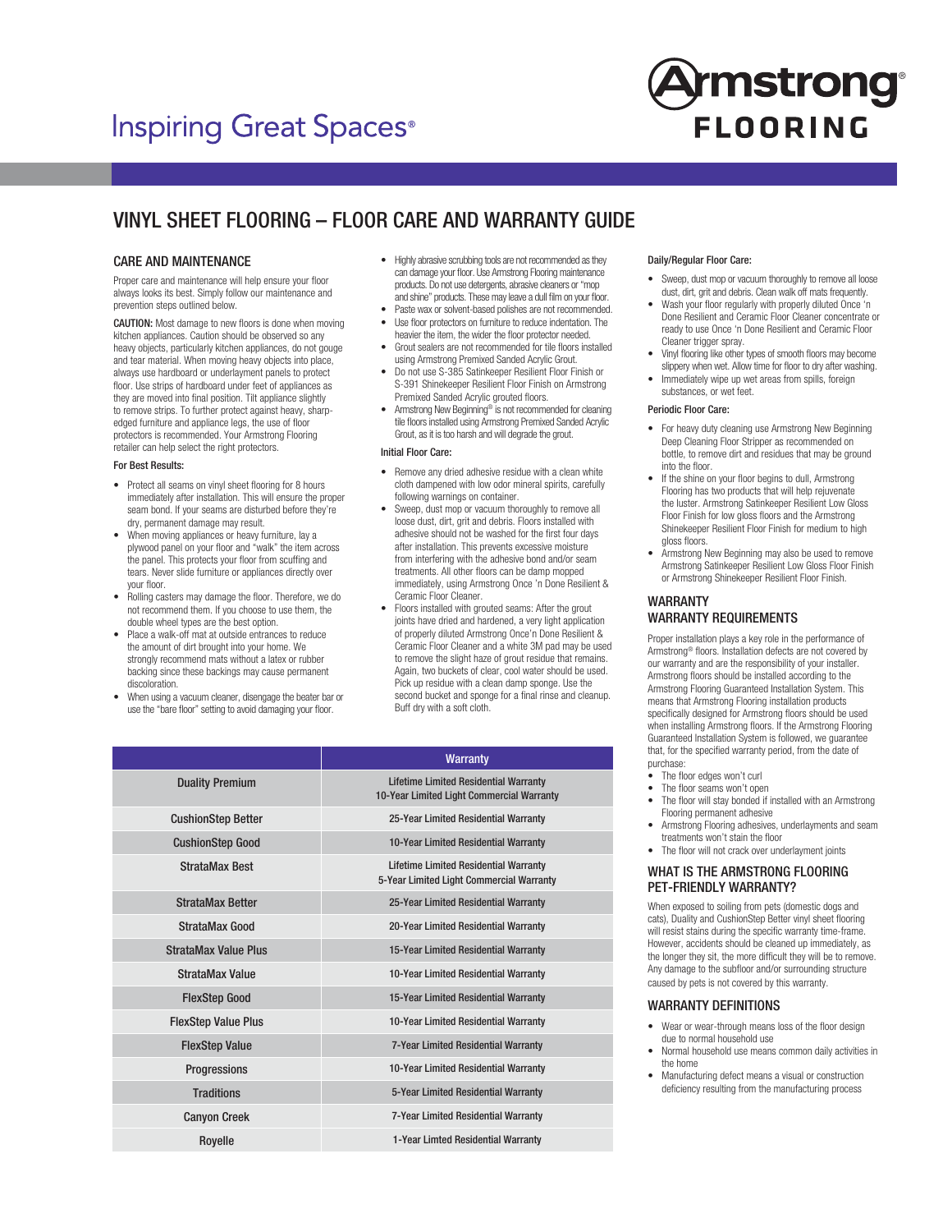# **Inspiring Great Spaces®**



## VINYL SHEET FLOORING – FLOOR CARE AND WARRANTY GUIDE

### CARE AND MAINTENANCE

Proper care and maintenance will help ensure your floor always looks its best. Simply follow our maintenance and prevention steps outlined below.

CAUTION: Most damage to new floors is done when moving kitchen appliances. Caution should be observed so any heavy objects, particularly kitchen appliances, do not gouge and tear material. When moving heavy objects into place, always use hardboard or underlayment panels to protect floor. Use strips of hardboard under feet of appliances as they are moved into final position. Tilt appliance slightly to remove strips. To further protect against heavy, sharpedged furniture and appliance legs, the use of floor protectors is recommended. Your Armstrong Flooring retailer can help select the right protectors.

#### For Best Results:

- Protect all seams on vinyl sheet flooring for 8 hours immediately after installation. This will ensure the proper seam bond. If your seams are disturbed before they're dry, permanent damage may result.
- When moving appliances or heavy furniture, lay a plywood panel on your floor and "walk" the item across the panel. This protects your floor from scuffing and tears. Never slide furniture or appliances directly over your floor.
- Rolling casters may damage the floor. Therefore, we do not recommend them. If you choose to use them, the double wheel types are the best option.
- Place a walk-off mat at outside entrances to reduce the amount of dirt brought into your home. We strongly recommend mats without a latex or rubber backing since these backings may cause permanent discoloration.
- When using a vacuum cleaner, disengage the beater bar or use the "bare floor" setting to avoid damaging your floor.
- Highly abrasive scrubbing tools are not recommended as they can damage your floor. Use Armstrong Flooring maintenance products. Do not use detergents, abrasive cleaners or "mop and shine" products. These may leave a dull film on your floor.
- Paste wax or solvent-based polishes are not recommended. • Use floor protectors on furniture to reduce indentation. The
- heavier the item, the wider the floor protector needed.
- Grout sealers are not recommended for tile floors installed using Armstrong Premixed Sanded Acrylic Grout.
- Do not use S-385 Satinkeeper Resilient Floor Finish or S-391 Shinekeeper Resilient Floor Finish on Armstrong Premixed Sanded Acrylic grouted floors.
- Armstrong New Beginning® is not recommended for cleaning tile floors installed using Armstrong Premixed Sanded Acrylic Grout, as it is too harsh and will degrade the grout.

#### Initial Floor Care:

- Remove any dried adhesive residue with a clean white cloth dampened with low odor mineral spirits, carefully following warnings on container.
- Sweep, dust mop or vacuum thoroughly to remove all loose dust, dirt, grit and debris. Floors installed with adhesive should not be washed for the first four days after installation. This prevents excessive moisture from interfering with the adhesive bond and/or seam treatments. All other floors can be damp mopped immediately, using Armstrong Once 'n Done Resilient & Ceramic Floor Cleaner.
- Floors installed with grouted seams: After the grout joints have dried and hardened, a very light application of properly diluted Armstrong Once'n Done Resilient & Ceramic Floor Cleaner and a white 3M pad may be used to remove the slight haze of grout residue that remains. Again, two buckets of clear, cool water should be used. Pick up residue with a clean damp sponge. Use the second bucket and sponge for a final rinse and cleanup. Buff dry with a soft cloth.

|                             | <b>Warranty</b>                                                                           |
|-----------------------------|-------------------------------------------------------------------------------------------|
| <b>Duality Premium</b>      | <b>Lifetime Limited Residential Warranty</b><br>10-Year Limited Light Commercial Warranty |
| <b>CushionStep Better</b>   | 25-Year Limited Residential Warranty                                                      |
| <b>CushionStep Good</b>     | 10-Year Limited Residential Warranty                                                      |
| <b>StrataMax Best</b>       | <b>Lifetime Limited Residential Warranty</b><br>5-Year Limited Light Commercial Warranty  |
| <b>StrataMax Better</b>     | 25-Year Limited Residential Warranty                                                      |
| <b>StrataMax Good</b>       | 20-Year Limited Residential Warranty                                                      |
| <b>StrataMax Value Plus</b> | 15-Year Limited Residential Warranty                                                      |
| StrataMax Value             | 10-Year Limited Residential Warranty                                                      |
| <b>FlexStep Good</b>        | 15-Year Limited Residential Warranty                                                      |
| <b>FlexStep Value Plus</b>  | 10-Year Limited Residential Warranty                                                      |
| <b>FlexStep Value</b>       | 7-Year Limited Residential Warranty                                                       |
| Progressions                | 10-Year Limited Residential Warranty                                                      |
| <b>Traditions</b>           | 5-Year Limited Residential Warranty                                                       |
| <b>Canyon Creek</b>         | 7-Year Limited Residential Warranty                                                       |
| Royelle                     | 1-Year Limted Residential Warranty                                                        |

#### Daily/Regular Floor Care:

- Sweep, dust mop or vacuum thoroughly to remove all loose dust, dirt, grit and debris. Clean walk off mats frequently.
- Wash your floor regularly with properly diluted Once 'n Done Resilient and Ceramic Floor Cleaner concentrate or ready to use Once 'n Done Resilient and Ceramic Floor Cleaner trigger spray.
- Vinyl flooring like other types of smooth floors may become slippery when wet. Allow time for floor to dry after washing.
- Immediately wipe up wet areas from spills, foreign substances, or wet feet.

#### Periodic Floor Care:

- For heavy duty cleaning use Armstrong New Beginning Deep Cleaning Floor Stripper as recommended on bottle, to remove dirt and residues that may be ground into the floor.
- If the shine on your floor begins to dull, Armstrong Flooring has two products that will help rejuvenate the luster. Armstrong Satinkeeper Resilient Low Gloss Floor Finish for low gloss floors and the Armstrong Shinekeeper Resilient Floor Finish for medium to high gloss floors.
- Armstrong New Beginning may also be used to remove Armstrong Satinkeeper Resilient Low Gloss Floor Finish or Armstrong Shinekeeper Resilient Floor Finish.

### WARRANTY WARRANTY REQUIREMENTS

Proper installation plays a key role in the performance of Armstrong® floors. Installation defects are not covered by our warranty and are the responsibility of your installer. Armstrong floors should be installed according to the Armstrong Flooring Guaranteed Installation System. This means that Armstrong Flooring installation products specifically designed for Armstrong floors should be used when installing Armstrong floors. If the Armstrong Flooring Guaranteed Installation System is followed, we guarantee that, for the specified warranty period, from the date of purchase:

- The floor edges won't curl
- The floor seams won't open
- The floor will stay bonded if installed with an Armstrong Flooring permanent adhesive
- Armstrong Flooring adhesives, underlayments and seam treatments won't stain the floor
- The floor will not crack over underlayment joints

#### WHAT IS THE ARMSTRONG FLOORING PET-FRIENDLY WARRANTY?

When exposed to soiling from pets (domestic dogs and cats), Duality and CushionStep Better vinyl sheet flooring will resist stains during the specific warranty time-frame. However, accidents should be cleaned up immediately, as the longer they sit, the more difficult they will be to remove. Any damage to the subfloor and/or surrounding structure caused by pets is not covered by this warranty.

#### WARRANTY DEFINITIONS

- Wear or wear-through means loss of the floor design due to normal household use
- Normal household use means common daily activities in the home
- Manufacturing defect means a visual or construction deficiency resulting from the manufacturing process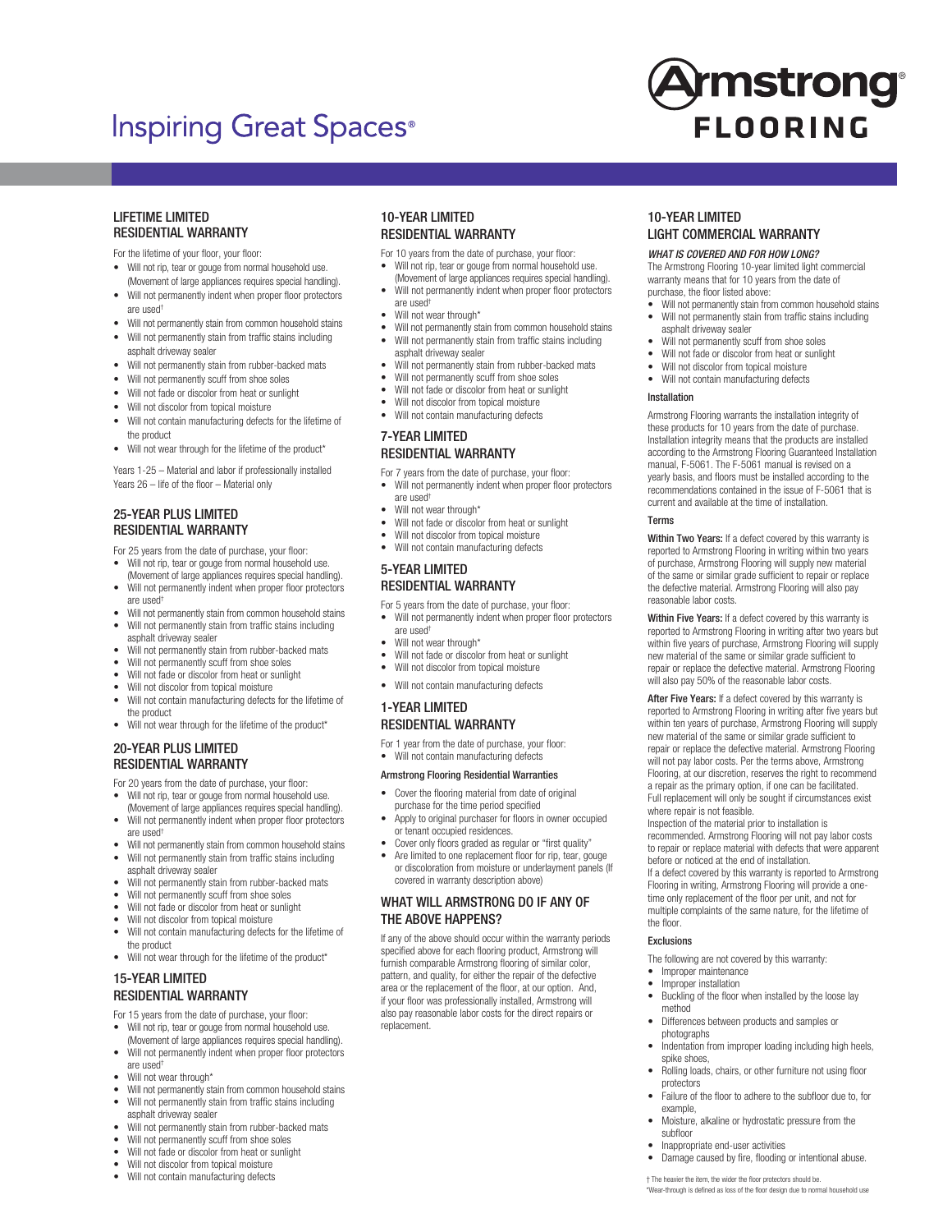## **Inspiring Great Spaces**<sup>®</sup>



#### LIFETIME LIMITED RESIDENTIAL WARRANTY

- For the lifetime of your floor, your floor:
- Will not rip, tear or gouge from normal household use. (Movement of large appliances requires special handling).
- Will not permanently indent when proper floor protectors are used†
- Will not permanently stain from common household stains
- Will not permanently stain from traffic stains including asphalt driveway sealer
- Will not permanently stain from rubber-backed mats
- Will not permanently scuff from shoe soles
- Will not fade or discolor from heat or sunlight
- Will not discolor from topical moisture
- Will not contain manufacturing defects for the lifetime of the product
- Will not wear through for the lifetime of the product\*

Years 1-25 – Material and labor if professionally installed Years 26 – life of the floor – Material only

## 25-YEAR PLUS LIMITED RESIDENTIAL WARRANTY

For 25 years from the date of purchase, your floor:

- Will not rip, tear or gouge from normal household use. (Movement of large appliances requires special handling).
- Will not permanently indent when proper floor protectors are used†
- Will not permanently stain from common household stains Will not permanently stain from traffic stains including
- asphalt driveway sealer
- Will not permanently stain from rubber-backed mats Will not permanently scuff from shoe soles
- Will not fade or discolor from heat or sunlight
- Will not discolor from topical moisture
- Will not contain manufacturing defects for the lifetime of the product
- Will not wear through for the lifetime of the product\*

## 20-YEAR PLUS LIMITED RESIDENTIAL WARRANTY

For 20 years from the date of purchase, your floor:

- Will not rip, tear or gouge from normal household use. (Movement of large appliances requires special handling).
- Will not permanently indent when proper floor protectors are used†
- Will not permanently stain from common household stains • Will not permanently stain from traffic stains including asphalt driveway sealer
- Will not permanently stain from rubber-backed mats
- Will not permanently scuff from shoe soles
- Will not fade or discolor from heat or sunlight
- Will not discolor from topical moisture
- Will not contain manufacturing defects for the lifetime of the product
- Will not wear through for the lifetime of the product\*

## 15-YEAR LIMITED RESIDENTIAL WARRANTY

For 15 years from the date of purchase, your floor:

- Will not rip, tear or gouge from normal household use. (Movement of large appliances requires special handling).
- Will not permanently indent when proper floor protectors are used†
- Will not wear through<sup>\*</sup>
- Will not permanently stain from common household stains Will not permanently stain from traffic stains including
- asphalt driveway sealer
- Will not permanently stain from rubber-backed mats
- Will not permanently scuff from shoe soles
- Will not fade or discolor from heat or sunlight
- 
- Will not discolor from topical moisture<br>• Will not contain manufacturing defects • Will not contain manufacturing defects

## 10-YEAR LIMITED RESIDENTIAL WARRANTY

- For 10 years from the date of purchase, your floor:
- Will not rip, tear or gouge from normal household use. (Movement of large appliances requires special handling).
- Will not permanently indent when proper floor protectors are used†
- Will not wear through\*
- Will not permanently stain from common household stains Will not permanently stain from traffic stains including asphalt driveway sealer
- Will not permanently stain from rubber-backed mats
- Will not permanently scuff from shoe soles
- Will not fade or discolor from heat or sunlight
- Will not discolor from topical moisture
- Will not contain manufacturing defects

## 7-YEAR LIMITED RESIDENTIAL WARRANTY

For 7 years from the date of purchase, your floor:

- Will not permanently indent when proper floor protectors are used†
	- Will not wear through\*
- Will not fade or discolor from heat or sunlight
- Will not discolor from topical moisture
- Will not contain manufacturing defects

## 5-YEAR LIMITED RESIDENTIAL WARRANTY

For 5 years from the date of purchase, your floor:

- Will not permanently indent when proper floor protectors are used†
	- Will not wear through\*
	- Will not fade or discolor from heat or sunlight
	- Will not discolor from topical moisture
	- Will not contain manufacturing defects

## 1-YEAR LIMITED RESIDENTIAL WARRANTY

For 1 year from the date of purchase, your floor: • Will not contain manufacturing defects

#### Armstrong Flooring Residential Warranties

- Cover the flooring material from date of original purchase for the time period specified
- Apply to original purchaser for floors in owner occupied or tenant occupied residences.
- Cover only floors graded as regular or "first quality"
- Are limited to one replacement floor for rip, tear, gouge or discoloration from moisture or underlayment panels (If covered in warranty description above)

## WHAT WILL ARMSTRONG DO IF ANY OF THE ABOVE HAPPENS?

If any of the above should occur within the warranty periods specified above for each flooring product, Armstrong will furnish comparable Armstrong flooring of similar color, pattern, and quality, for either the repair of the defective area or the replacement of the floor, at our option. And, if your floor was professionally installed, Armstrong will also pay reasonable labor costs for the direct repairs or replacement.

## 10-YEAR LIMITED LIGHT COMMERCIAL WARRANTY

*WHAT IS COVERED AND FOR HOW LONG?*

The Armstrong Flooring 10-year limited light commercial warranty means that for 10 years from the date of purchase, the floor listed above:

- Will not permanently stain from common household stains Will not permanently stain from traffic stains including asphalt driveway sealer
- Will not permanently scuff from shoe soles
- Will not fade or discolor from heat or sunlight
- Will not discolor from topical moisture
- Will not contain manufacturing defects

#### Installation

Armstrong Flooring warrants the installation integrity of these products for 10 years from the date of purchase. Installation integrity means that the products are installed according to the Armstrong Flooring Guaranteed Installation manual, F-5061. The F-5061 manual is revised on a yearly basis, and floors must be installed according to the recommendations contained in the issue of F-5061 that is current and available at the time of installation.

#### **T**erme

Within Two Years: If a defect covered by this warranty is reported to Armstrong Flooring in writing within two years of purchase, Armstrong Flooring will supply new material of the same or similar grade sufficient to repair or replace the defective material. Armstrong Flooring will also pay reasonable labor costs.

Within Five Years: If a defect covered by this warranty is reported to Armstrong Flooring in writing after two years but within five years of purchase, Armstrong Flooring will supply new material of the same or similar grade sufficient to repair or replace the defective material. Armstrong Flooring will also pay 50% of the reasonable labor costs.

After Five Years: If a defect covered by this warranty is reported to Armstrong Flooring in writing after five years but within ten years of purchase, Armstrong Flooring will supply new material of the same or similar grade sufficient to repair or replace the defective material. Armstrong Flooring will not pay labor costs. Per the terms above, Armstrong Flooring, at our discretion, reserves the right to recommend a repair as the primary option, if one can be facilitated. Full replacement will only be sought if circumstances exist where repair is not feasible.

Inspection of the material prior to installation is recommended. Armstrong Flooring will not pay labor costs to repair or replace material with defects that were apparent before or noticed at the end of installation. If a defect covered by this warranty is reported to Armstrong Flooring in writing, Armstrong Flooring will provide a onetime only replacement of the floor per unit, and not for multiple complaints of the same nature, for the lifetime of the floor.

#### Exclusions

method

photographs

spike shoes,

protectors

example,

subfloor

• Improper installation

The following are not covered by this warranty: • Improper maintenance

• Buckling of the floor when installed by the loose lay

• Indentation from improper loading including high heels,

• Rolling loads, chairs, or other furniture not using floor

• Failure of the floor to adhere to the subfloor due to, for

• Damage caused by fire, flooding or intentional abuse.

• Moisture, alkaline or hydrostatic pressure from the

• Inappropriate end-user activities

† The heavier the item, the wider the floor protectors should be. \*Wear-through is defined as loss of the floor design due to normal household use

• Differences between products and samples or